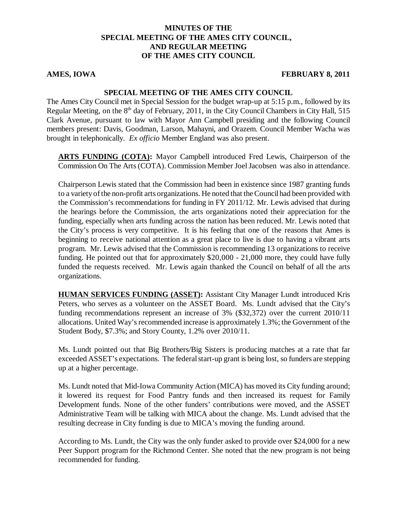#### **MINUTES OF THE SPECIAL MEETING OF THE AMES CITY COUNCIL, AND REGULAR MEETING OF THE AMES CITY COUNCIL**

#### **AMES, IOWA FEBRUARY 8, 2011**

#### **SPECIAL MEETING OF THE AMES CITY COUNCIL**

The Ames City Council met in Special Session for the budget wrap-up at 5:15 p.m., followed by its Regular Meeting, on the  $8<sup>th</sup>$  day of February, 2011, in the City Council Chambers in City Hall, 515 Clark Avenue, pursuant to law with Mayor Ann Campbell presiding and the following Council members present: Davis, Goodman, Larson, Mahayni, and Orazem. Council Member Wacha was brought in telephonically. *Ex officio* Member England was also present.

**ARTS FUNDING (COTA):** Mayor Campbell introduced Fred Lewis, Chairperson of the Commission On The Arts (COTA). Commission Member Joel Jacobsen was also in attendance.

Chairperson Lewis stated that the Commission had been in existence since 1987 granting funds to a variety of the non-profit arts organizations. He noted that the Council had been provided with the Commission's recommendations for funding in FY 2011/12. Mr. Lewis advised that during the hearings before the Commission, the arts organizations noted their appreciation for the funding, especially when arts funding across the nation has been reduced. Mr. Lewis noted that the City's process is very competitive. It is his feeling that one of the reasons that Ames is beginning to receive national attention as a great place to live is due to having a vibrant arts program. Mr. Lewis advised that the Commission is recommending 13 organizations to receive funding. He pointed out that for approximately \$20,000 - 21,000 more, they could have fully funded the requests received. Mr. Lewis again thanked the Council on behalf of all the arts organizations.

**HUMAN SERVICES FUNDING (ASSET):** Assistant City Manager Lundt introduced Kris Peters, who serves as a volunteer on the ASSET Board. Ms. Lundt advised that the City's funding recommendations represent an increase of 3% (\$32,372) over the current 2010/11 allocations. United Way's recommended increase is approximately 1.3%; the Government of the Student Body, \$7.3%; and Story County, 1.2% over 2010/11.

Ms. Lundt pointed out that Big Brothers/Big Sisters is producing matches at a rate that far exceeded ASSET's expectations. The federal start-up grant is being lost, so funders are stepping up at a higher percentage.

Ms. Lundt noted that Mid-Iowa Community Action (MICA) has moved its City funding around; it lowered its request for Food Pantry funds and then increased its request for Family Development funds. None of the other funders' contributions were moved, and the ASSET Administrative Team will be talking with MICA about the change. Ms. Lundt advised that the resulting decrease in City funding is due to MICA's moving the funding around.

According to Ms. Lundt, the City was the only funder asked to provide over \$24,000 for a new Peer Support program for the Richmond Center. She noted that the new program is not being recommended for funding.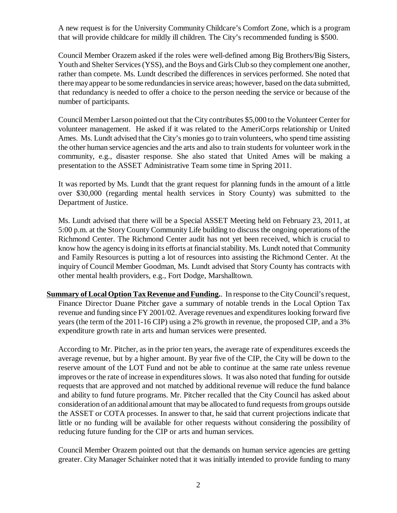A new request is for the University Community Childcare's Comfort Zone, which is a program that will provide childcare for mildly ill children. The City's recommended funding is \$500.

Council Member Orazem asked if the roles were well-defined among Big Brothers/Big Sisters, Youth and Shelter Services (YSS), and the Boys and Girls Club so they complement one another, rather than compete. Ms. Lundt described the differences in services performed. She noted that there may appear to be some redundancies in service areas; however, based on the data submitted, that redundancy is needed to offer a choice to the person needing the service or because of the number of participants.

Council Member Larson pointed out that the City contributes \$5,000 to the Volunteer Center for volunteer management. He asked if it was related to the AmeriCorps relationship or United Ames. Ms. Lundt advised that the City's monies go to train volunteers, who spend time assisting the other human service agencies and the arts and also to train students for volunteer work in the community, e.g., disaster response. She also stated that United Ames will be making a presentation to the ASSET Administrative Team some time in Spring 2011.

It was reported by Ms. Lundt that the grant request for planning funds in the amount of a little over \$30,000 (regarding mental health services in Story County) was submitted to the Department of Justice.

Ms. Lundt advised that there will be a Special ASSET Meeting held on February 23, 2011, at 5:00 p.m. at the Story County Community Life building to discuss the ongoing operations of the Richmond Center. The Richmond Center audit has not yet been received, which is crucial to know how the agency is doing in its efforts at financial stability. Ms. Lundt noted that Community and Family Resources is putting a lot of resources into assisting the Richmond Center. At the inquiry of Council Member Goodman, Ms. Lundt advised that Story County has contracts with other mental health providers, e.g., Fort Dodge, Marshalltown.

**Summary of Local Option Tax Revenue and Funding.**. In response to the City Council's request, Finance Director Duane Pitcher gave a summary of notable trends in the Local Option Tax revenue and funding since FY 2001/02. Average revenues and expenditures looking forward five years (the term of the 2011-16 CIP) using a 2% growth in revenue, the proposed CIP, and a 3% expenditure growth rate in arts and human services were presented.

According to Mr. Pitcher, as in the prior ten years, the average rate of expenditures exceeds the average revenue, but by a higher amount. By year five of the CIP, the City will be down to the reserve amount of the LOT Fund and not be able to continue at the same rate unless revenue improves or the rate of increase in expenditures slows. It was also noted that funding for outside requests that are approved and not matched by additional revenue will reduce the fund balance and ability to fund future programs. Mr. Pitcher recalled that the City Council has asked about consideration of an additional amount that may be allocated to fund requests from groups outside the ASSET or COTA processes. In answer to that, he said that current projections indicate that little or no funding will be available for other requests without considering the possibility of reducing future funding for the CIP or arts and human services.

Council Member Orazem pointed out that the demands on human service agencies are getting greater. City Manager Schainker noted that it was initially intended to provide funding to many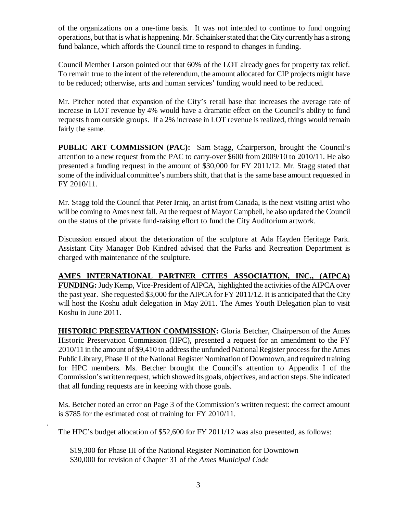of the organizations on a one-time basis. It was not intended to continue to fund ongoing operations, but that is what is happening. Mr. Schainker stated that the City currently has a strong fund balance, which affords the Council time to respond to changes in funding.

Council Member Larson pointed out that 60% of the LOT already goes for property tax relief. To remain true to the intent of the referendum, the amount allocated for CIP projects might have to be reduced; otherwise, arts and human services' funding would need to be reduced.

Mr. Pitcher noted that expansion of the City's retail base that increases the average rate of increase in LOT revenue by 4% would have a dramatic effect on the Council's ability to fund requests from outside groups. If a 2% increase in LOT revenue is realized, things would remain fairly the same.

**PUBLIC ART COMMISSION (PAC):** Sam Stagg, Chairperson, brought the Council's attention to a new request from the PAC to carry-over \$600 from 2009/10 to 2010/11. He also presented a funding request in the amount of \$30,000 for FY 2011/12. Mr. Stagg stated that some of the individual committee's numbers shift, that that is the same base amount requested in FY 2010/11.

Mr. Stagg told the Council that Peter Irniq, an artist from Canada, is the next visiting artist who will be coming to Ames next fall. At the request of Mayor Campbell, he also updated the Council on the status of the private fund-raising effort to fund the City Auditorium artwork.

Discussion ensued about the deterioration of the sculpture at Ada Hayden Heritage Park. Assistant City Manager Bob Kindred advised that the Parks and Recreation Department is charged with maintenance of the sculpture.

**AMES INTERNATIONAL PARTNER CITIES ASSOCIATION, INC., (AIPCA) FUNDING:** Judy Kemp, Vice-President of AIPCA, highlighted the activities of the AIPCA over the past year. She requested \$3,000 for the AIPCA for FY 2011/12. It is anticipated that the City will host the Koshu adult delegation in May 2011. The Ames Youth Delegation plan to visit Koshu in June 2011.

**HISTORIC PRESERVATION COMMISSION:** Gloria Betcher, Chairperson of the Ames Historic Preservation Commission (HPC), presented a request for an amendment to the FY 2010/11 in the amount of \$9,410 to address the unfunded National Register process for the Ames Public Library, Phase II of the National Register Nomination of Downtown, and required training for HPC members. Ms. Betcher brought the Council's attention to Appendix I of the Commission's written request, which showed its goals, objectives, and action steps. She indicated that all funding requests are in keeping with those goals.

Ms. Betcher noted an error on Page 3 of the Commission's written request: the correct amount is \$785 for the estimated cost of training for FY 2010/11.

The HPC's budget allocation of \$52,600 for FY 2011/12 was also presented, as follows:

\$19,300 for Phase III of the National Register Nomination for Downtown \$30,000 for revision of Chapter 31 of the *Ames Municipal Code*

.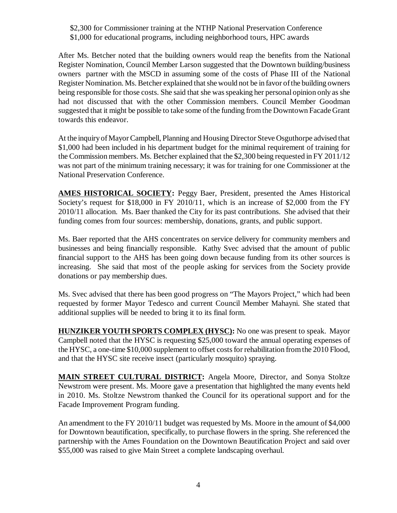#### \$2,300 for Commissioner training at the NTHP National Preservation Conference \$1,000 for educational programs, including neighborhood tours, HPC awards

After Ms. Betcher noted that the building owners would reap the benefits from the National Register Nomination, Council Member Larson suggested that the Downtown building/business owners partner with the MSCD in assuming some of the costs of Phase III of the National Register Nomination. Ms. Betcher explained that she would not be in favor of the building owners being responsible for those costs. She said that she was speaking her personal opinion only as she had not discussed that with the other Commission members. Council Member Goodman suggested that it might be possible to take some of the funding from the Downtown Facade Grant towards this endeavor.

At the inquiry of Mayor Campbell, Planning and Housing Director Steve Osguthorpe advised that \$1,000 had been included in his department budget for the minimal requirement of training for the Commission members. Ms. Betcher explained that the \$2,300 being requested in FY 2011/12 was not part of the minimum training necessary; it was for training for one Commissioner at the National Preservation Conference.

**AMES HISTORICAL SOCIETY:** Peggy Baer, President, presented the Ames Historical Society's request for \$18,000 in FY 2010/11, which is an increase of \$2,000 from the FY 2010/11 allocation. Ms. Baer thanked the City for its past contributions. She advised that their funding comes from four sources: membership, donations, grants, and public support.

Ms. Baer reported that the AHS concentrates on service delivery for community members and businesses and being financially responsible. Kathy Svec advised that the amount of public financial support to the AHS has been going down because funding from its other sources is increasing. She said that most of the people asking for services from the Society provide donations or pay membership dues.

Ms. Svec advised that there has been good progress on "The Mayors Project," which had been requested by former Mayor Tedesco and current Council Member Mahayni. She stated that additional supplies will be needed to bring it to its final form.

**HUNZIKER YOUTH SPORTS COMPLEX (HYSC):** No one was present to speak. Mayor Campbell noted that the HYSC is requesting \$25,000 toward the annual operating expenses of the HYSC, a one-time \$10,000 supplement to offset costs for rehabilitation from the 2010 Flood, and that the HYSC site receive insect (particularly mosquito) spraying.

**MAIN STREET CULTURAL DISTRICT:** Angela Moore, Director, and Sonya Stoltze Newstrom were present. Ms. Moore gave a presentation that highlighted the many events held in 2010. Ms. Stoltze Newstrom thanked the Council for its operational support and for the Facade Improvement Program funding.

An amendment to the FY 2010/11 budget was requested by Ms. Moore in the amount of \$4,000 for Downtown beautification, specifically, to purchase flowers in the spring. She referenced the partnership with the Ames Foundation on the Downtown Beautification Project and said over \$55,000 was raised to give Main Street a complete landscaping overhaul.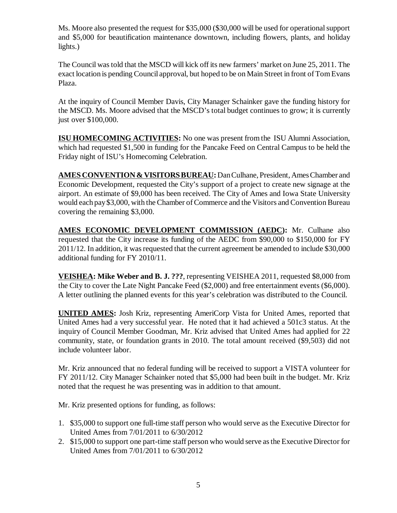Ms. Moore also presented the request for \$35,000 (\$30,000 will be used for operational support and \$5,000 for beautification maintenance downtown, including flowers, plants, and holiday lights.)

The Council was told that the MSCD will kick off its new farmers' market on June 25, 2011. The exact location is pending Council approval, but hoped to be on Main Street in front of Tom Evans Plaza.

At the inquiry of Council Member Davis, City Manager Schainker gave the funding history for the MSCD. Ms. Moore advised that the MSCD's total budget continues to grow; it is currently just over \$100,000.

**ISU HOMECOMING ACTIVITIES:** No one was present from the ISU Alumni Association, which had requested \$1,500 in funding for the Pancake Feed on Central Campus to be held the Friday night of ISU's Homecoming Celebration.

**AMES CONVENTION & VISITORS BUREAU:** Dan Culhane, President, Ames Chamber and Economic Development, requested the City's support of a project to create new signage at the airport. An estimate of \$9,000 has been received. The City of Ames and Iowa State University would each pay \$3,000, with the Chamber of Commerce and the Visitors and Convention Bureau covering the remaining \$3,000.

**AMES ECONOMIC DEVELOPMENT COMMISSION (AEDC):** Mr. Culhane also requested that the City increase its funding of the AEDC from \$90,000 to \$150,000 for FY 2011/12. In addition, it was requested that the current agreement be amended to include \$30,000 additional funding for FY 2010/11.

**VEISHEA: Mike Weber and B. J. ???**, representing VEISHEA 2011, requested \$8,000 from the City to cover the Late Night Pancake Feed (\$2,000) and free entertainment events (\$6,000). A letter outlining the planned events for this year's celebration was distributed to the Council.

**UNITED AMES:** Josh Kriz, representing AmeriCorp Vista for United Ames, reported that United Ames had a very successful year. He noted that it had achieved a 501c3 status. At the inquiry of Council Member Goodman, Mr. Kriz advised that United Ames had applied for 22 community, state, or foundation grants in 2010. The total amount received (\$9,503) did not include volunteer labor.

Mr. Kriz announced that no federal funding will be received to support a VISTA volunteer for FY 2011/12. City Manager Schainker noted that \$5,000 had been built in the budget. Mr. Kriz noted that the request he was presenting was in addition to that amount.

Mr. Kriz presented options for funding, as follows:

- 1. \$35,000 to support one full-time staff person who would serve as the Executive Director for United Ames from 7/01/2011 to 6/30/2012
- 2. \$15,000 to support one part-time staff person who would serve as the Executive Director for United Ames from 7/01/2011 to 6/30/2012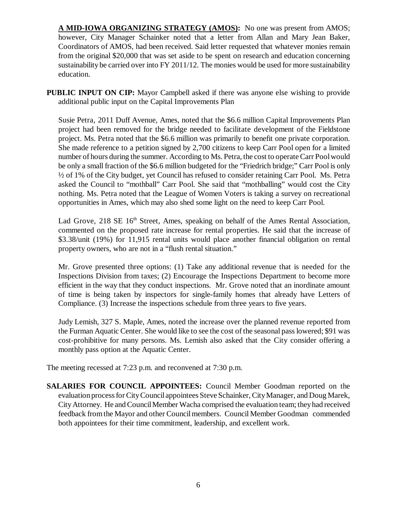**A MID-IOWA ORGANIZING STRATEGY (AMOS):** No one was present from AMOS; however, City Manager Schainker noted that a letter from Allan and Mary Jean Baker, Coordinators of AMOS, had been received. Said letter requested that whatever monies remain from the original \$20,000 that was set aside to be spent on research and education concerning sustainability be carried over into FY 2011/12. The monies would be used for more sustainability education.

**PUBLIC INPUT ON CIP:** Mayor Campbell asked if there was anyone else wishing to provide additional public input on the Capital Improvements Plan

Susie Petra, 2011 Duff Avenue, Ames, noted that the \$6.6 million Capital Improvements Plan project had been removed for the bridge needed to facilitate development of the Fieldstone project. Ms. Petra noted that the \$6.6 million was primarily to benefit one private corporation. She made reference to a petition signed by 2,700 citizens to keep Carr Pool open for a limited number of hours during the summer. According to Ms. Petra, the cost to operate Carr Pool would be only a small fraction of the \$6.6 million budgeted for the "Friedrich bridge;" Carr Pool is only ½ of 1% of the City budget, yet Council has refused to consider retaining Carr Pool. Ms. Petra asked the Council to "mothball" Carr Pool. She said that "mothballing" would cost the City nothing. Ms. Petra noted that the League of Women Voters is taking a survey on recreational opportunities in Ames, which may also shed some light on the need to keep Carr Pool.

Lad Grove, 218 SE 16<sup>th</sup> Street, Ames, speaking on behalf of the Ames Rental Association, commented on the proposed rate increase for rental properties. He said that the increase of \$3.38/unit (19%) for 11,915 rental units would place another financial obligation on rental property owners, who are not in a "flush rental situation."

Mr. Grove presented three options: (1) Take any additional revenue that is needed for the Inspections Division from taxes; (2) Encourage the Inspections Department to become more efficient in the way that they conduct inspections. Mr. Grove noted that an inordinate amount of time is being taken by inspectors for single-family homes that already have Letters of Compliance. (3) Increase the inspections schedule from three years to five years.

Judy Lemish, 327 S. Maple, Ames, noted the increase over the planned revenue reported from the Furman Aquatic Center. She would like to see the cost of the seasonal pass lowered; \$91 was cost-prohibitive for many persons. Ms. Lemish also asked that the City consider offering a monthly pass option at the Aquatic Center.

The meeting recessed at 7:23 p.m. and reconvened at 7:30 p.m.

**SALARIES FOR COUNCIL APPOINTEES:** Council Member Goodman reported on the evaluation process for City Council appointees Steve Schainker, City Manager, and Doug Marek, City Attorney. He and Council Member Wacha comprised the evaluation team; they had received feedback from the Mayor and other Council members. Council Member Goodman commended both appointees for their time commitment, leadership, and excellent work.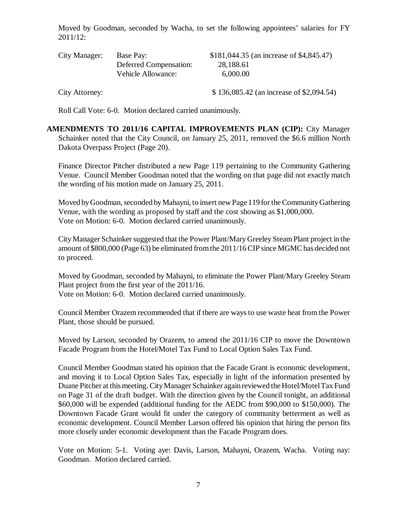Moved by Goodman, seconded by Wacha, to set the following appointees' salaries for FY 2011/12:

| City Manager:  | Base Pay:              | \$181,044.35 (an increase of \$4,845.47) |
|----------------|------------------------|------------------------------------------|
|                | Deferred Compensation: | 28,188.61                                |
|                | Vehicle Allowance:     | 6,000.00                                 |
| City Attorney: |                        | \$136,085.42 (an increase of \$2,094.54) |

Roll Call Vote: 6-0. Motion declared carried unanimously.

**AMENDMENTS TO 2011/16 CAPITAL IMPROVEMENTS PLAN (CIP):** City Manager Schainker noted that the City Council, on January 25, 2011, removed the \$6.6 million North Dakota Overpass Project (Page 20).

Finance Director Pitcher distributed a new Page 119 pertaining to the Community Gathering Venue. Council Member Goodman noted that the wording on that page did not exactly match the wording of his motion made on January 25, 2011.

Moved by Goodman, seconded by Mahayni, to insert new Page 119 for the Community Gathering Venue, with the wording as proposed by staff and the cost showing as \$1,000,000. Vote on Motion: 6-0. Motion declared carried unanimously.

City Manager Schainker suggested that the Power Plant/Mary Greeley Steam Plant project in the amount of \$800,000 (Page 63) be eliminated from the 2011/16 CIP since MGMC has decided not to proceed.

Moved by Goodman, seconded by Mahayni, to eliminate the Power Plant/Mary Greeley Steam Plant project from the first year of the 2011/16. Vote on Motion: 6-0. Motion declared carried unanimously.

Council Member Orazem recommended that if there are ways to use waste heat from the Power Plant, those should be pursued.

Moved by Larson, seconded by Orazem, to amend the 2011/16 CIP to move the Downtown Facade Program from the Hotel/Motel Tax Fund to Local Option Sales Tax Fund.

Council Member Goodman stated his opinion that the Facade Grant is economic development, and moving it to Local Option Sales Tax, especially in light of the information presented by Duane Pitcher at this meeting. City Manager Schainker again reviewed the Hotel/Motel Tax Fund on Page 31 of the draft budget. With the direction given by the Council tonight, an additional \$60,000 will be expended (additional funding for the AEDC from \$90,000 to \$150,000). The Downtown Facade Grant would fit under the category of community betterment as well as economic development. Council Member Larson offered his opinion that hiring the person fits more closely under economic development than the Facade Program does.

Vote on Motion: 5-1. Voting aye: Davis, Larson, Mahayni, Orazem, Wacha. Voting nay: Goodman. Motion declared carried.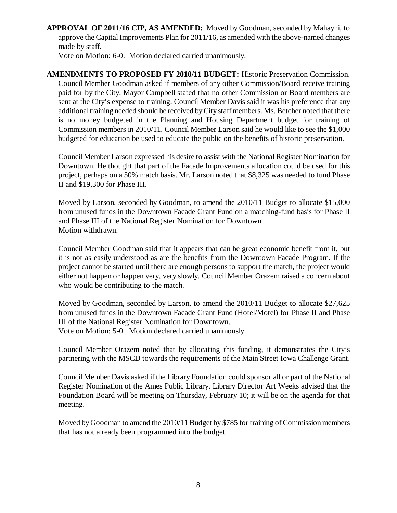**APPROVAL OF 2011/16 CIP, AS AMENDED:** Moved by Goodman, seconded by Mahayni, to approve the Capital Improvements Plan for 2011/16, as amended with the above-named changes made by staff.

Vote on Motion: 6-0. Motion declared carried unanimously.

**AMENDMENTS TO PROPOSED FY 2010/11 BUDGET:** Historic Preservation Commission. Council Member Goodman asked if members of any other Commission/Board receive training paid for by the City. Mayor Campbell stated that no other Commission or Board members are sent at the City's expense to training. Council Member Davis said it was his preference that any additional training needed should be received by City staff members. Ms. Betcher noted that there is no money budgeted in the Planning and Housing Department budget for training of Commission members in 2010/11. Council Member Larson said he would like to see the \$1,000 budgeted for education be used to educate the public on the benefits of historic preservation.

Council Member Larson expressed his desire to assist with the National Register Nomination for Downtown. He thought that part of the Facade Improvements allocation could be used for this project, perhaps on a 50% match basis. Mr. Larson noted that \$8,325 was needed to fund Phase II and \$19,300 for Phase III.

Moved by Larson, seconded by Goodman, to amend the 2010/11 Budget to allocate \$15,000 from unused funds in the Downtown Facade Grant Fund on a matching-fund basis for Phase II and Phase III of the National Register Nomination for Downtown. Motion withdrawn.

Council Member Goodman said that it appears that can be great economic benefit from it, but it is not as easily understood as are the benefits from the Downtown Facade Program. If the project cannot be started until there are enough persons to support the match, the project would either not happen or happen very, very slowly. Council Member Orazem raised a concern about who would be contributing to the match.

Moved by Goodman, seconded by Larson, to amend the 2010/11 Budget to allocate \$27,625 from unused funds in the Downtown Facade Grant Fund (Hotel/Motel) for Phase II and Phase III of the National Register Nomination for Downtown.

Vote on Motion: 5-0. Motion declared carried unanimously.

Council Member Orazem noted that by allocating this funding, it demonstrates the City's partnering with the MSCD towards the requirements of the Main Street Iowa Challenge Grant.

Council Member Davis asked if the Library Foundation could sponsor all or part of the National Register Nomination of the Ames Public Library. Library Director Art Weeks advised that the Foundation Board will be meeting on Thursday, February 10; it will be on the agenda for that meeting.

Moved by Goodman to amend the 2010/11 Budget by \$785 for training of Commission members that has not already been programmed into the budget.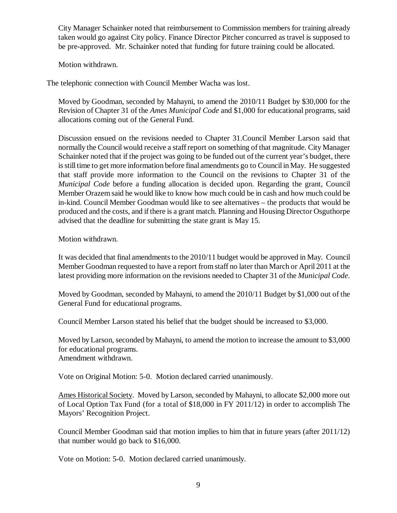City Manager Schainker noted that reimbursement to Commission members for training already taken would go against City policy. Finance Director Pitcher concurred as travel is supposed to be pre-approved. Mr. Schainker noted that funding for future training could be allocated.

Motion withdrawn.

The telephonic connection with Council Member Wacha was lost.

Moved by Goodman, seconded by Mahayni, to amend the 2010/11 Budget by \$30,000 for the Revision of Chapter 31 of the *Ames Municipal Code* and \$1,000 for educational programs, said allocations coming out of the General Fund.

Discussion ensued on the revisions needed to Chapter 31.Council Member Larson said that normally the Council would receive a staff report on something of that magnitude. City Manager Schainker noted that if the project was going to be funded out of the current year's budget, there is still time to get more information before final amendments go to Council in May. He suggested that staff provide more information to the Council on the revisions to Chapter 31 of the *Municipal Code* before a funding allocation is decided upon. Regarding the grant, Council Member Orazem said he would like to know how much could be in cash and how much could be in-kind. Council Member Goodman would like to see alternatives – the products that would be produced and the costs, and if there is a grant match. Planning and Housing Director Osguthorpe advised that the deadline for submitting the state grant is May 15.

Motion withdrawn.

It was decided that final amendments to the 2010/11 budget would be approved in May. Council Member Goodman requested to have a report from staff no later than March or April 2011 at the latest providing more information on the revisions needed to Chapter 31 of the *Municipal Code*.

Moved by Goodman, seconded by Mahayni, to amend the 2010/11 Budget by \$1,000 out of the General Fund for educational programs.

Council Member Larson stated his belief that the budget should be increased to \$3,000.

Moved by Larson, seconded by Mahayni, to amend the motion to increase the amount to \$3,000 for educational programs. Amendment withdrawn.

Vote on Original Motion: 5-0. Motion declared carried unanimously.

Ames Historical Society. Moved by Larson, seconded by Mahayni, to allocate \$2,000 more out of Local Option Tax Fund (for a total of \$18,000 in FY 2011/12) in order to accomplish The Mayors' Recognition Project.

Council Member Goodman said that motion implies to him that in future years (after 2011/12) that number would go back to \$16,000.

Vote on Motion: 5-0. Motion declared carried unanimously.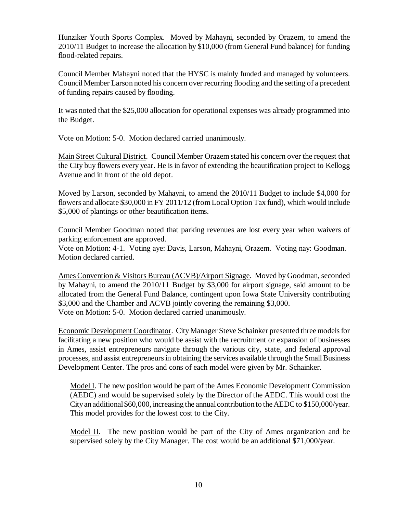Hunziker Youth Sports Complex. Moved by Mahayni, seconded by Orazem, to amend the 2010/11 Budget to increase the allocation by \$10,000 (from General Fund balance) for funding flood-related repairs.

Council Member Mahayni noted that the HYSC is mainly funded and managed by volunteers. Council Member Larson noted his concern over recurring flooding and the setting of a precedent of funding repairs caused by flooding.

It was noted that the \$25,000 allocation for operational expenses was already programmed into the Budget.

Vote on Motion: 5-0. Motion declared carried unanimously.

Main Street Cultural District. Council Member Orazem stated his concern over the request that the City buy flowers every year. He is in favor of extending the beautification project to Kellogg Avenue and in front of the old depot.

Moved by Larson, seconded by Mahayni, to amend the 2010/11 Budget to include \$4,000 for flowers and allocate \$30,000 in FY 2011/12 (from Local Option Tax fund), which would include \$5,000 of plantings or other beautification items.

Council Member Goodman noted that parking revenues are lost every year when waivers of parking enforcement are approved.

Vote on Motion: 4-1. Voting aye: Davis, Larson, Mahayni, Orazem. Voting nay: Goodman. Motion declared carried.

Ames Convention & Visitors Bureau (ACVB)/Airport Signage. Moved by Goodman, seconded by Mahayni, to amend the 2010/11 Budget by \$3,000 for airport signage, said amount to be allocated from the General Fund Balance, contingent upon Iowa State University contributing \$3,000 and the Chamber and ACVB jointly covering the remaining \$3,000. Vote on Motion: 5-0. Motion declared carried unanimously.

Economic Development Coordinator. City Manager Steve Schainker presented three models for facilitating a new position who would be assist with the recruitment or expansion of businesses in Ames, assist entrepreneurs navigate through the various city, state, and federal approval processes, and assist entrepreneurs in obtaining the services available through the Small Business Development Center. The pros and cons of each model were given by Mr. Schainker.

Model I. The new position would be part of the Ames Economic Development Commission (AEDC) and would be supervised solely by the Director of the AEDC. This would cost the City an additional \$60,000, increasing the annual contribution to the AEDC to \$150,000/year. This model provides for the lowest cost to the City.

Model II. The new position would be part of the City of Ames organization and be supervised solely by the City Manager. The cost would be an additional \$71,000/year.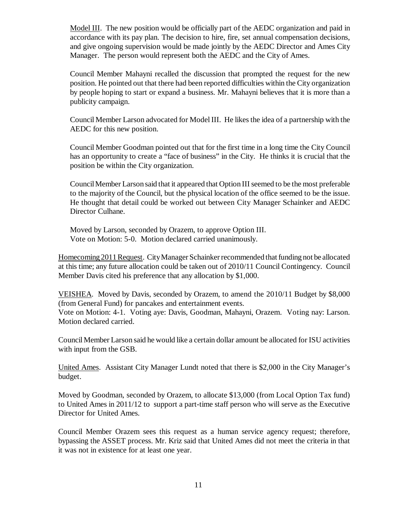Model III. The new position would be officially part of the AEDC organization and paid in accordance with its pay plan. The decision to hire, fire, set annual compensation decisions, and give ongoing supervision would be made jointly by the AEDC Director and Ames City Manager. The person would represent both the AEDC and the City of Ames.

Council Member Mahayni recalled the discussion that prompted the request for the new position. He pointed out that there had been reported difficulties within the City organization by people hoping to start or expand a business. Mr. Mahayni believes that it is more than a publicity campaign.

Council Member Larson advocated for Model III. He likes the idea of a partnership with the AEDC for this new position.

Council Member Goodman pointed out that for the first time in a long time the City Council has an opportunity to create a "face of business" in the City. He thinks it is crucial that the position be within the City organization.

Council Member Larson said that it appeared that Option III seemed to be the most preferable to the majority of the Council, but the physical location of the office seemed to be the issue. He thought that detail could be worked out between City Manager Schainker and AEDC Director Culhane.

Moved by Larson, seconded by Orazem, to approve Option III. Vote on Motion: 5-0. Motion declared carried unanimously.

Homecoming 2011 Request. City Manager Schainker recommended that funding not be allocated at this time; any future allocation could be taken out of 2010/11 Council Contingency. Council Member Davis cited his preference that any allocation by \$1,000.

VEISHEA. Moved by Davis, seconded by Orazem, to amend the 2010/11 Budget by \$8,000 (from General Fund) for pancakes and entertainment events.

Vote on Motion: 4-1. Voting aye: Davis, Goodman, Mahayni, Orazem. Voting nay: Larson. Motion declared carried.

Council Member Larson said he would like a certain dollar amount be allocated for ISU activities with input from the GSB.

United Ames. Assistant City Manager Lundt noted that there is \$2,000 in the City Manager's budget.

Moved by Goodman, seconded by Orazem, to allocate \$13,000 (from Local Option Tax fund) to United Ames in 2011/12 to support a part-time staff person who will serve as the Executive Director for United Ames.

Council Member Orazem sees this request as a human service agency request; therefore, bypassing the ASSET process. Mr. Kriz said that United Ames did not meet the criteria in that it was not in existence for at least one year.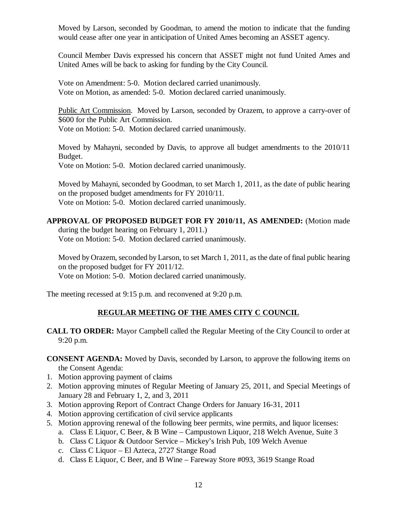Moved by Larson, seconded by Goodman, to amend the motion to indicate that the funding would cease after one year in anticipation of United Ames becoming an ASSET agency.

Council Member Davis expressed his concern that ASSET might not fund United Ames and United Ames will be back to asking for funding by the City Council.

Vote on Amendment: 5-0. Motion declared carried unanimously. Vote on Motion, as amended: 5-0. Motion declared carried unanimously.

Public Art Commission. Moved by Larson, seconded by Orazem, to approve a carry-over of \$600 for the Public Art Commission. Vote on Motion: 5-0. Motion declared carried unanimously.

Moved by Mahayni, seconded by Davis, to approve all budget amendments to the 2010/11 Budget. Vote on Motion: 5-0. Motion declared carried unanimously.

Moved by Mahayni, seconded by Goodman, to set March 1, 2011, as the date of public hearing on the proposed budget amendments for FY 2010/11. Vote on Motion: 5-0. Motion declared carried unanimously.

#### **APPROVAL OF PROPOSED BUDGET FOR FY 2010/11, AS AMENDED:** (Motion made

during the budget hearing on February 1, 2011.) Vote on Motion: 5-0. Motion declared carried unanimously.

Moved by Orazem, seconded by Larson, to set March 1, 2011, as the date of final public hearing on the proposed budget for FY 2011/12. Vote on Motion: 5-0. Motion declared carried unanimously.

# The meeting recessed at 9:15 p.m. and reconvened at 9:20 p.m.

### **REGULAR MEETING OF THE AMES CITY C COUNCIL**

**CALL TO ORDER:** Mayor Campbell called the Regular Meeting of the City Council to order at 9:20 p.m.

**CONSENT AGENDA:** Moved by Davis, seconded by Larson, to approve the following items on the Consent Agenda:

- 1. Motion approving payment of claims
- 2. Motion approving minutes of Regular Meeting of January 25, 2011, and Special Meetings of January 28 and February 1, 2, and 3, 2011
- 3. Motion approving Report of Contract Change Orders for January 16-31, 2011
- 4. Motion approving certification of civil service applicants
- 5. Motion approving renewal of the following beer permits, wine permits, and liquor licenses:
	- a. Class E Liquor, C Beer, & B Wine Campustown Liquor, 218 Welch Avenue, Suite 3
	- b. Class C Liquor & Outdoor Service Mickey's Irish Pub, 109 Welch Avenue
	- c. Class C Liquor El Azteca, 2727 Stange Road
	- d. Class E Liquor, C Beer, and B Wine Fareway Store #093, 3619 Stange Road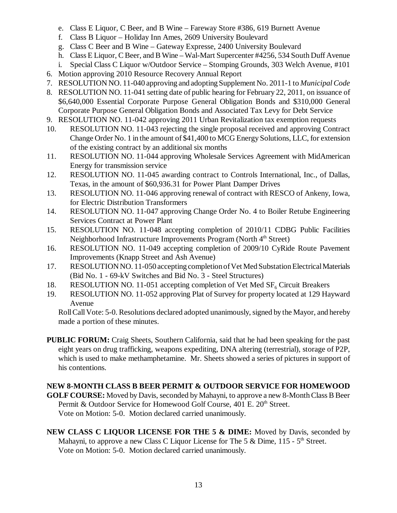- e. Class E Liquor, C Beer, and B Wine Fareway Store #386, 619 Burnett Avenue
- f. Class B Liquor Holiday Inn Ames, 2609 University Boulevard
- g. Class C Beer and B Wine Gateway Expresse, 2400 University Boulevard
- h. Class E Liquor, C Beer, and B Wine Wal-Mart Supercenter #4256, 534 South Duff Avenue
- i. Special Class C Liquor w/Outdoor Service Stomping Grounds, 303 Welch Avenue, #101
- 6. Motion approving 2010 Resource Recovery Annual Report
- 7. RESOLUTION NO. 11-040 approving and adopting Supplement No. 2011-1 to *Municipal Code*
- 8. RESOLUTION NO. 11-041 setting date of public hearing for February 22, 2011, on issuance of \$6,640,000 Essential Corporate Purpose General Obligation Bonds and \$310,000 General Corporate Purpose General Obligation Bonds and Associated Tax Levy for Debt Service
- 9. RESOLUTION NO. 11-042 approving 2011 Urban Revitalization tax exemption requests
- 10. RESOLUTION NO. 11-043 rejecting the single proposal received and approving Contract Change Order No. 1 in the amount of \$41,400 to MCG Energy Solutions, LLC, for extension of the existing contract by an additional six months
- 11. RESOLUTION NO. 11-044 approving Wholesale Services Agreement with MidAmerican Energy for transmission service
- 12. RESOLUTION NO. 11-045 awarding contract to Controls International, Inc., of Dallas, Texas, in the amount of \$60,936.31 for Power Plant Damper Drives
- 13. RESOLUTION NO. 11-046 approving renewal of contract with RESCO of Ankeny, Iowa, for Electric Distribution Transformers
- 14. RESOLUTION NO. 11-047 approving Change Order No. 4 to Boiler Retube Engineering Services Contract at Power Plant
- 15. RESOLUTION NO. 11-048 accepting completion of 2010/11 CDBG Public Facilities Neighborhood Infrastructure Improvements Program (North  $4<sup>th</sup>$  Street)
- 16. RESOLUTION NO. 11-049 accepting completion of 2009/10 CyRide Route Pavement Improvements (Knapp Street and Ash Avenue)
- 17. RESOLUTION NO. 11-050 accepting completion of Vet Med Substation Electrical Materials (Bid No. 1 - 69-kV Switches and Bid No. 3 - Steel Structures)
- 18. RESOLUTION NO. 11-051 accepting completion of Vet Med  $SF<sub>6</sub>$  Circuit Breakers
- 19. RESOLUTION NO. 11-052 approving Plat of Survey for property located at 129 Hayward Avenue

Roll Call Vote: 5-0. Resolutions declared adopted unanimously, signed by the Mayor, and hereby made a portion of these minutes.

**PUBLIC FORUM:** Craig Sheets, Southern California, said that he had been speaking for the past eight years on drug trafficking, weapons expediting, DNA altering (terrestrial), storage of P2P, which is used to make methamphetamine. Mr. Sheets showed a series of pictures in support of his contentions.

## **NEW 8-MONTH CLASS B BEER PERMIT & OUTDOOR SERVICE FOR HOMEWOOD**

- **GOLF COURSE:** Moved by Davis, seconded by Mahayni, to approve a new 8-Month Class B Beer Permit & Outdoor Service for Homewood Golf Course, 401 E. 20<sup>th</sup> Street. Vote on Motion: 5-0. Motion declared carried unanimously.
- **NEW CLASS C LIQUOR LICENSE FOR THE 5 & DIME:** Moved by Davis, seconded by Mahayni, to approve a new Class C Liquor License for The 5 & Dime,  $115 - 5<sup>th</sup>$  Street. Vote on Motion: 5-0. Motion declared carried unanimously.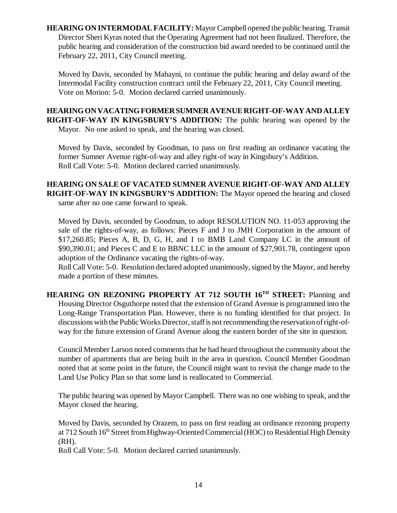**HEARING ON INTERMODAL FACILITY:** Mayor Campbell opened the public hearing. Transit Director Sheri Kyras noted that the Operating Agreement had not been finalized. Therefore, the public hearing and consideration of the construction bid award needed to be continued until the February 22, 2011, City Council meeting.

Moved by Davis, seconded by Mahayni, to continue the public hearing and delay award of the Intermodal Facility construction contract until the February 22, 2011, City Council meeting. Vote on Motion: 5-0. Motion declared carried unanimously.

**HEARING ON VACATING FORMER SUMNER AVENUE RIGHT-OF-WAY AND ALLEY RIGHT-OF-WAY IN KINGSBURY'S ADDITION:** The public hearing was opened by the Mayor. No one asked to speak, and the hearing was closed.

Moved by Davis, seconded by Goodman, to pass on first reading an ordinance vacating the former Sumner Avenue right-of-way and alley right-of way in Kingsbury's Addition. Roll Call Vote: 5-0. Motion declared carried unanimously.

# **HEARING ON SALE OF VACATED SUMNER AVENUE RIGHT-OF-WAY AND ALLEY RIGHT-OF-WAY IN KINGSBURY'S ADDITION:** The Mayor opened the hearing and closed

same after no one came forward to speak.

Moved by Davis, seconded by Goodman, to adopt RESOLUTION NO. 11-053 approving the sale of the rights-of-way, as follows: Pieces F and J to JMH Corporation in the amount of \$17,260.85; Pieces A, B, D, G, H, and I to BMB Land Company LC in the amount of \$90,390.01; and Pieces C and E to BBNC LLC in the amount of \$27,901.78, contingent upon adoption of the Ordinance vacating the rights-of-way.

Roll Call Vote: 5-0. Resolution declared adopted unanimously, signed by the Mayor, and hereby made a portion of these minutes.

**HEARING ON REZONING PROPERTY AT 712 SOUTH 16<sup>TH</sup> STREET: Planning and** Housing Director Osguthorpe noted that the extension of Grand Avenue is programmed into the Long-Range Transportation Plan. However, there is no funding identified for that project. In discussions with the Public Works Director, staff is not recommending the reservation of right-ofway for the future extension of Grand Avenue along the eastern border of the site in question.

Council Member Larson noted comments that he had heard throughout the community about the number of apartments that are being built in the area in question. Council Member Goodman noted that at some point in the future, the Council might want to revisit the change made to the Land Use Policy Plan so that some land is reallocated to Commercial.

The public hearing was opened by Mayor Campbell. There was no one wishing to speak, and the Mayor closed the hearing.

Moved by Davis, seconded by Orazem, to pass on first reading an ordinance rezoning property at 712 South 16<sup>th</sup> Street from Highway-Oriented Commercial (HOC) to Residential High Density (RH).

Roll Call Vote: 5-0. Motion declared carried unanimously.